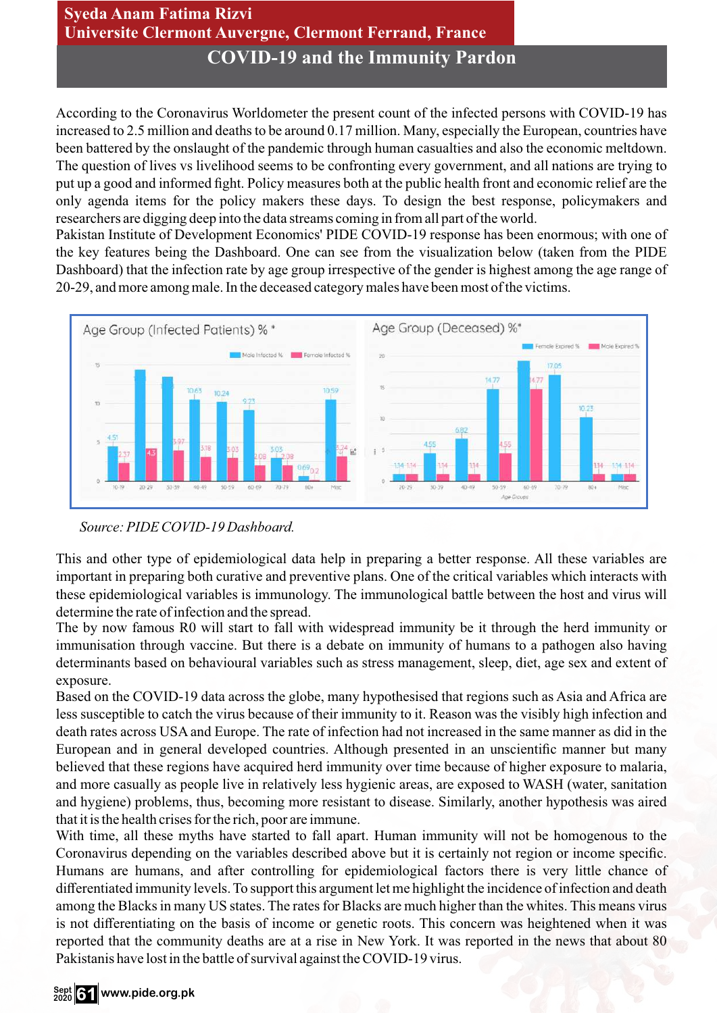## **Syeda Anam Fatima Rizvi Universite Clermont Auvergne, Clermont Ferrand, France COVID-19 and the Immunity Pardon**

According to the Coronavirus Worldometer the present count of the infected persons with COVID-19 has increased to 2.5 million and deaths to be around 0.17 million. Many, especially the European, countries have been battered by the onslaught of the pandemic through human casualties and also the economic meltdown. The question of lives vs livelihood seems to be confronting every government, and all nations are trying to put up a good and informed fight. Policy measures both at the public health front and economic relief are the only agenda items for the policy makers these days. To design the best response, policymakers and researchers are digging deep into the data streams coming in from all part of the world.

Pakistan Institute of Development Economics' PIDE COVID-19 response has been enormous; with one of the key features being the Dashboard. One can see from the visualization below (taken from the PIDE Dashboard) that the infection rate by age group irrespective of the gender is highest among the age range of 20-29, and more among male. In the deceased category males have been most of the victims.





This and other type of epidemiological data help in preparing a better response. All these variables are important in preparing both curative and preventive plans. One of the critical variables which interacts with these epidemiological variables is immunology. The immunological battle between the host and virus will determine the rate of infection and the spread.

The by now famous R0 will start to fall with widespread immunity be it through the herd immunity or immunisation through vaccine. But there is a debate on immunity of humans to a pathogen also having determinants based on behavioural variables such as stress management, sleep, diet, age sex and extent of exposure.

Based on the COVID-19 data across the globe, many hypothesised that regions such as Asia and Africa are less susceptible to catch the virus because of their immunity to it. Reason was the visibly high infection and death rates across USA and Europe. The rate of infection had not increased in the same manner as did in the European and in general developed countries. Although presented in an unscientific manner but many believed that these regions have acquired herd immunity over time because of higher exposure to malaria, and more casually as people live in relatively less hygienic areas, are exposed to WASH (water, sanitation and hygiene) problems, thus, becoming more resistant to disease. Similarly, another hypothesis was aired that it is the health crises for the rich, poor are immune.

With time, all these myths have started to fall apart. Human immunity will not be homogenous to the Coronavirus depending on the variables described above but it is certainly not region or income specific. Humans are humans, and after controlling for epidemiological factors there is very little chance of differentiated immunity levels. To support this argument let me highlight the incidence of infection and death among the Blacks in many US states. The rates for Blacks are much higher than the whites. This means virus is not differentiating on the basis of income or genetic roots. This concern was heightened when it was reported that the community deaths are at a rise in New York. It was reported in the news that about 80 Pakistanis have lost in the battle of survival against the COVID-19 virus.

## **www.pide.org.pk Sept <sup>2020</sup> 61**